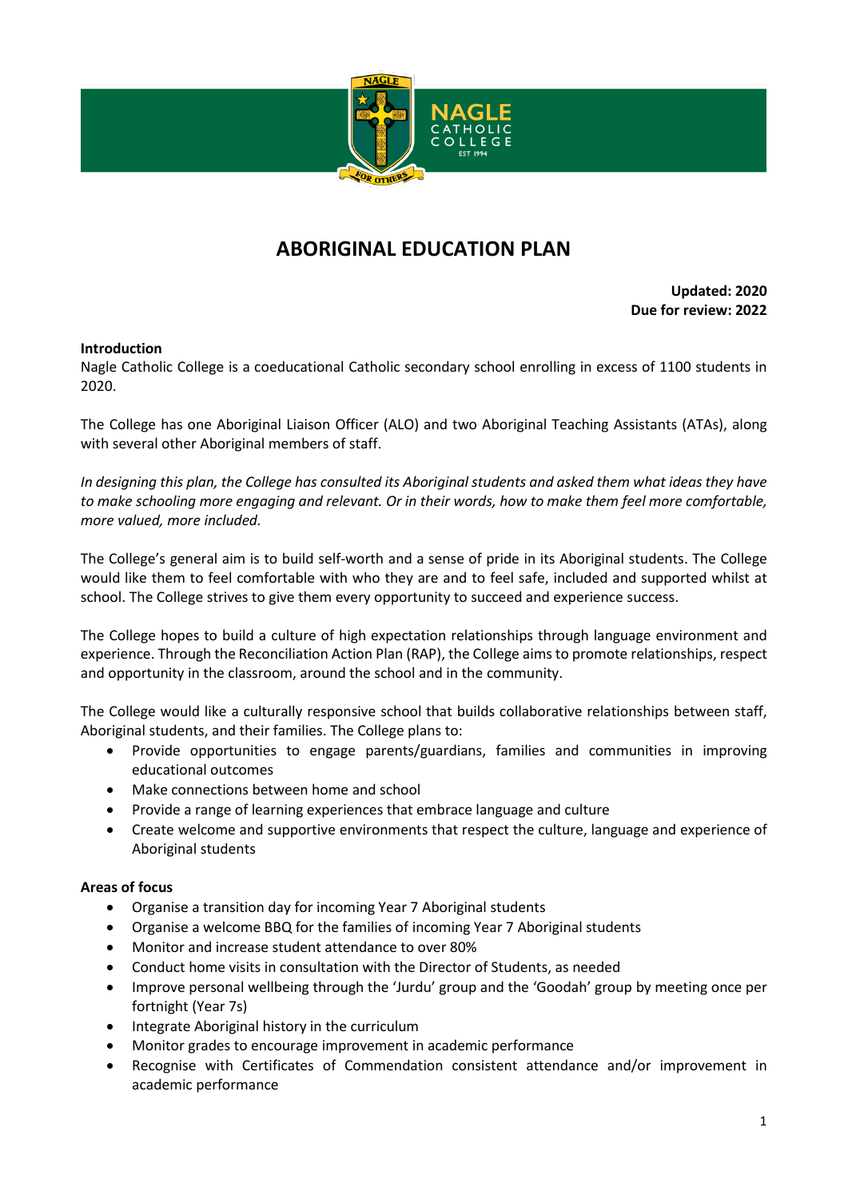

## **ABORIGINAL EDUCATION PLAN**

**Updated: 2020 Due for review: 2022**

## **Introduction**

Nagle Catholic College is a coeducational Catholic secondary school enrolling in excess of 1100 students in 2020.

The College has one Aboriginal Liaison Officer (ALO) and two Aboriginal Teaching Assistants (ATAs), along with several other Aboriginal members of staff.

*In designing this plan, the College has consulted its Aboriginal students and asked them what ideas they have to make schooling more engaging and relevant. Or in their words, how to make them feel more comfortable, more valued, more included.*

The College's general aim is to build self-worth and a sense of pride in its Aboriginal students. The College would like them to feel comfortable with who they are and to feel safe, included and supported whilst at school. The College strives to give them every opportunity to succeed and experience success.

The College hopes to build a culture of high expectation relationships through language environment and experience. Through the Reconciliation Action Plan (RAP), the College aims to promote relationships, respect and opportunity in the classroom, around the school and in the community.

The College would like a culturally responsive school that builds collaborative relationships between staff, Aboriginal students, and their families. The College plans to:

- Provide opportunities to engage parents/guardians, families and communities in improving educational outcomes
- Make connections between home and school
- Provide a range of learning experiences that embrace language and culture
- Create welcome and supportive environments that respect the culture, language and experience of Aboriginal students

## **Areas of focus**

- Organise a transition day for incoming Year 7 Aboriginal students
- Organise a welcome BBQ for the families of incoming Year 7 Aboriginal students
- Monitor and increase student attendance to over 80%
- Conduct home visits in consultation with the Director of Students, as needed
- Improve personal wellbeing through the 'Jurdu' group and the 'Goodah' group by meeting once per fortnight (Year 7s)
- Integrate Aboriginal history in the curriculum
- Monitor grades to encourage improvement in academic performance
- Recognise with Certificates of Commendation consistent attendance and/or improvement in academic performance